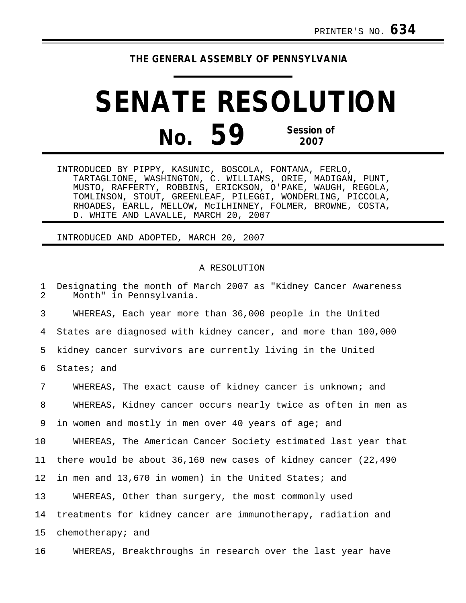## **THE GENERAL ASSEMBLY OF PENNSYLVANIA**

## **SENATE RESOLUTION No. 59 Session of 2007**

INTRODUCED BY PIPPY, KASUNIC, BOSCOLA, FONTANA, FERLO, TARTAGLIONE, WASHINGTON, C. WILLIAMS, ORIE, MADIGAN, PUNT, MUSTO, RAFFERTY, ROBBINS, ERICKSON, O'PAKE, WAUGH, REGOLA, TOMLINSON, STOUT, GREENLEAF, PILEGGI, WONDERLING, PICCOLA, RHOADES, EARLL, MELLOW, McILHINNEY, FOLMER, BROWNE, COSTA, D. WHITE AND LAVALLE, MARCH 20, 2007

INTRODUCED AND ADOPTED, MARCH 20, 2007

## A RESOLUTION

1 Designating the month of March 2007 as "Kidney Cancer Awareness"<br>2 Month" in Pennsylvania Month" in Pennsylvania. 3 WHEREAS, Each year more than 36,000 people in the United 4 States are diagnosed with kidney cancer, and more than 100,000 5 kidney cancer survivors are currently living in the United 6 States; and 7 WHEREAS, The exact cause of kidney cancer is unknown; and 8 WHEREAS, Kidney cancer occurs nearly twice as often in men as 9 in women and mostly in men over 40 years of age; and 10 WHEREAS, The American Cancer Society estimated last year that 11 there would be about 36,160 new cases of kidney cancer (22,490 12 in men and 13,670 in women) in the United States; and 13 WHEREAS, Other than surgery, the most commonly used 14 treatments for kidney cancer are immunotherapy, radiation and 15 chemotherapy; and 16 WHEREAS, Breakthroughs in research over the last year have